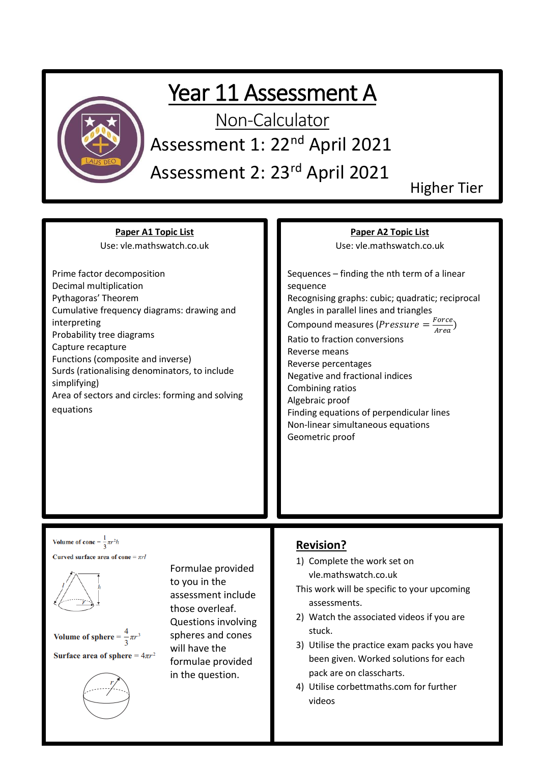

## Year 11 Assessment A

Non-Calculator

Assessment 1: 22nd April 2021

Assessment 2: 23rd April 2021

Higher Tier

**Paper A1 Topic List** Use: vle.mathswatch.co.uk

Prime factor decomposition Decimal multiplication Pythagoras' Theorem Cumulative frequency diagrams: drawing and interpreting Probability tree diagrams Capture recapture Functions (composite and inverse) Surds (rationalising denominators, to include simplifying) Area of sectors and circles: forming and solving equations

#### **Paper A2 Topic List**

Use: vle.mathswatch.co.uk

Sequences – finding the nth term of a linear sequence Recognising graphs: cubic; quadratic; reciprocal Angles in parallel lines and triangles Compound measures (*Pressure* =  $\frac{Force}{Area}$  $\frac{r \text{ or } c \epsilon}{Area}$ 

Ratio to fraction conversions Reverse means Reverse percentages Negative and fractional indices Combining ratios Algebraic proof Finding equations of perpendicular lines Non-linear simultaneous equations Geometric proof

Volume of cone =  $\frac{1}{2}\pi r^2 h$ Curved surface area of cone =  $\pi rl$ 





Formulae provided to you in the assessment include those overleaf. Questions involving spheres and cones will have the formulae provided in the question.

### **Revision?**

- 1) Complete the work set on vle.mathswatch.co.uk
- This work will be specific to your upcoming assessments.
- 2) Watch the associated videos if you are stuck.
- 3) Utilise the practice exam packs you have been given. Worked solutions for each pack are on classcharts.
- 4) Utilise corbettmaths.com for further videos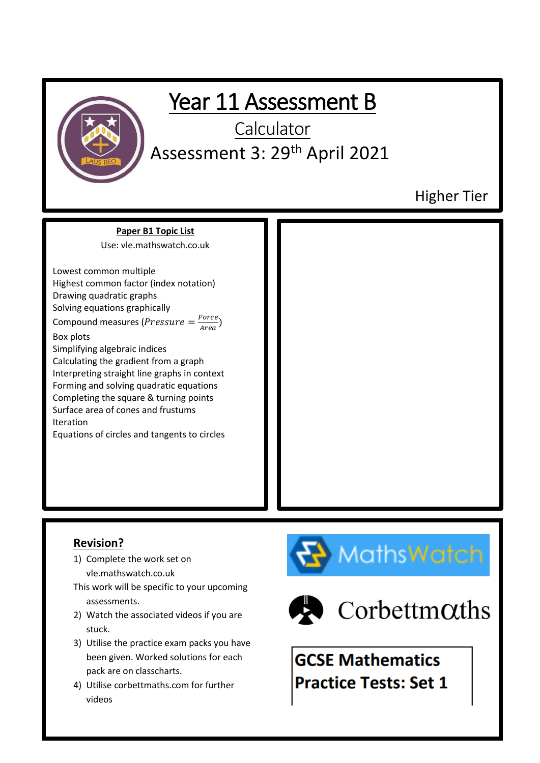

### **Revision?**

- 1) Complete the work set on vle.mathswatch.co.uk
- This work will be specific to your upcoming assessments.
- 2) Watch the associated videos if you are stuck.
- 3) Utilise the practice exam packs you have been given. Worked solutions for each pack are on classcharts.
- 4) Utilise corbettmaths.com for further videos





 $\blacktriangleright$  Corbettm $\alpha$ ths

**GCSE Mathematics Practice Tests: Set 1**